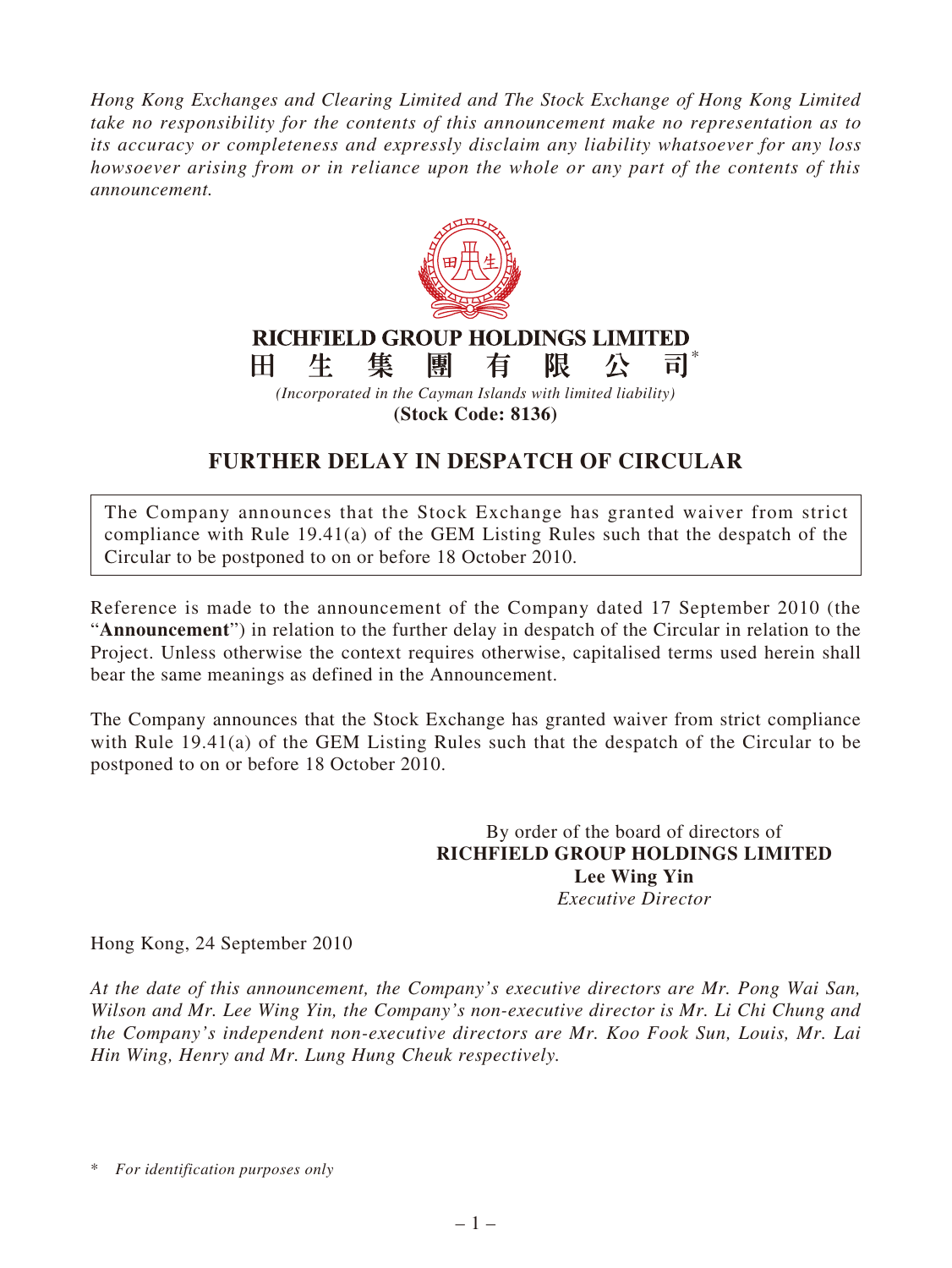*Hong Kong Exchanges and Clearing Limited and The Stock Exchange of Hong Kong Limited take no responsibility for the contents of this announcement make no representation as to its accuracy or completeness and expressly disclaim any liability whatsoever for any loss howsoever arising from or in reliance upon the whole or any part of the contents of this announcement.*



**(Stock Code: 8136)**

## **FURTHER DELAY IN DESPATCH OF CIRCULAR**

The Company announces that the Stock Exchange has granted waiver from strict compliance with Rule 19.41(a) of the GEM Listing Rules such that the despatch of the Circular to be postponed to on or before 18 October 2010.

Reference is made to the announcement of the Company dated 17 September 2010 (the "**Announcement**") in relation to the further delay in despatch of the Circular in relation to the Project. Unless otherwise the context requires otherwise, capitalised terms used herein shall bear the same meanings as defined in the Announcement.

The Company announces that the Stock Exchange has granted waiver from strict compliance with Rule 19.41(a) of the GEM Listing Rules such that the despatch of the Circular to be postponed to on or before 18 October 2010.

> By order of the board of directors of **RICHFIELD GROUP HOLDINGS LIMITED Lee Wing Yin** *Executive Director*

Hong Kong, 24 September 2010

*At the date of this announcement, the Company's executive directors are Mr. Pong Wai San, Wilson and Mr. Lee Wing Yin, the Company's non-executive director is Mr. Li Chi Chung and the Company's independent non-executive directors are Mr. Koo Fook Sun, Louis, Mr. Lai Hin Wing, Henry and Mr. Lung Hung Cheuk respectively.*

\* *For identification purposes only*